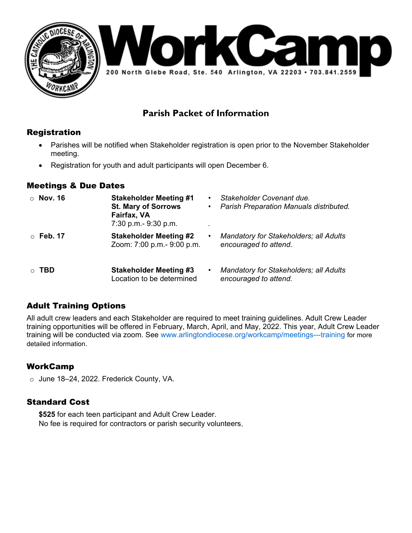

# **Parish Packet of Information**

### Registration

- Parishes will be notified when Stakeholder registration is open prior to the November Stakeholder meeting.
- Registration for youth and adult participants will open December 6.

### Meetings & Due Dates

| $\circ$ Nov. 16 | <b>Stakeholder Meeting #1</b><br><b>St. Mary of Sorrows</b><br>Fairfax, VA<br>7:30 p.m.- 9:30 p.m. | $\bullet$<br>$\bullet$ | Stakeholder Covenant due.<br>Parish Preparation Manuals distributed.   |
|-----------------|----------------------------------------------------------------------------------------------------|------------------------|------------------------------------------------------------------------|
| $\circ$ Feb. 17 | <b>Stakeholder Meeting #2</b><br>Zoom: 7:00 p.m.- 9:00 p.m.                                        | ٠                      | <b>Mandatory for Stakeholders; all Adults</b><br>encouraged to attend. |
| ⊙ TBD           | <b>Stakeholder Meeting #3</b><br>Location to be determined                                         | $\bullet$              | <b>Mandatory for Stakeholders; all Adults</b><br>encouraged to attend. |

# Adult Training Options

All adult crew leaders and each Stakeholder are required to meet training guidelines. Adult Crew Leader training opportunities will be offered in February, March, April, and May, 2022. This year, Adult Crew Leader training will be conducted via zoom. See www.arlingtondiocese.org/workcamp/meetings---training for more detailed information.

# WorkCamp

o June 18–24, 2022. Frederick County, VA.

### Standard Cost

**\$525** for each teen participant and Adult Crew Leader. No fee is required for contractors or parish security volunteers.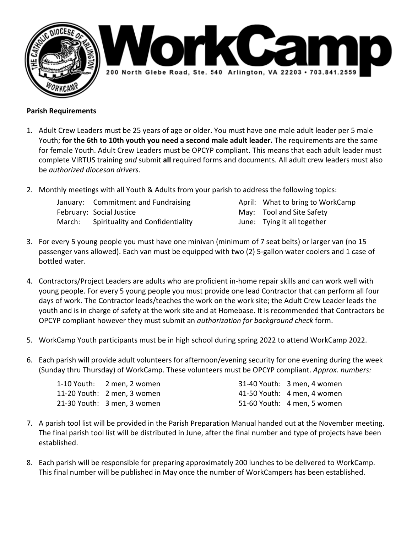



### **Parish Requirements**

- 1. Adult Crew Leaders must be 25 years of age or older. You must have one male adult leader per 5 male Youth; **for the 6th to 10th youth you need a second male adult leader.** The requirements are the same for female Youth. Adult Crew Leaders must be OPCYP compliant. This means that each adult leader must complete VIRTUS training *and* submit **all** required forms and documents. All adult crew leaders must also be *authorized diocesan drivers*.
- 2. Monthly meetings with all Youth & Adults from your parish to address the following topics:
	- January: Commitment and Fundraising Theorem 20 April: What to bring to WorkCamp February: Social Justice *May: Tool and Site Safety May: Tool and Site Safety* March: Spirituality and Confidentiality **Server Access** June: Tying it all together
		-
- 3. For every 5 young people you must have one minivan (minimum of 7 seat belts) or larger van (no 15 passenger vans allowed). Each van must be equipped with two (2) 5‐gallon water coolers and 1 case of bottled water.
- 4. Contractors/Project Leaders are adults who are proficient in‐home repair skills and can work well with young people. For every 5 young people you must provide one lead Contractor that can perform all four days of work. The Contractor leads/teaches the work on the work site; the Adult Crew Leader leads the youth and is in charge of safety at the work site and at Homebase. It is recommended that Contractors be OPCYP compliant however they must submit an *authorization for background check* form.
- 5. WorkCamp Youth participants must be in high school during spring 2022 to attend WorkCamp 2022.
- 6. Each parish will provide adult volunteers for afternoon/evening security for one evening during the week (Sunday thru Thursday) of WorkCamp. These volunteers must be OPCYP compliant. *Approx. numbers:*

| 1-10 Youth: 2 men, 2 women  | 31-40 Youth: 3 men, 4 women |
|-----------------------------|-----------------------------|
| 11-20 Youth: 2 men, 3 women | 41-50 Youth: 4 men, 4 women |
| 21-30 Youth: 3 men, 3 women | 51-60 Youth: 4 men, 5 women |

- 7. A parish tool list will be provided in the Parish Preparation Manual handed out at the November meeting. The final parish tool list will be distributed in June, after the final number and type of projects have been established.
- 8. Each parish will be responsible for preparing approximately 200 lunches to be delivered to WorkCamp. This final number will be published in May once the number of WorkCampers has been established.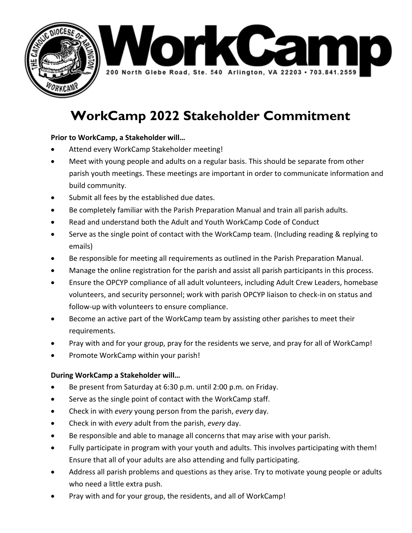



# **WorkCamp 2022 Stakeholder Commitment**

### **Prior to WorkCamp, a Stakeholder will…**

- Attend every WorkCamp Stakeholder meeting!
- Meet with young people and adults on a regular basis. This should be separate from other parish youth meetings. These meetings are important in order to communicate information and build community.
- Submit all fees by the established due dates.
- Be completely familiar with the Parish Preparation Manual and train all parish adults.
- Read and understand both the Adult and Youth WorkCamp Code of Conduct
- Serve as the single point of contact with the WorkCamp team. (Including reading & replying to emails)
- Be responsible for meeting all requirements as outlined in the Parish Preparation Manual.
- Manage the online registration for the parish and assist all parish participants in this process.
- Ensure the OPCYP compliance of all adult volunteers, including Adult Crew Leaders, homebase volunteers, and security personnel; work with parish OPCYP liaison to check‐in on status and follow‐up with volunteers to ensure compliance.
- Become an active part of the WorkCamp team by assisting other parishes to meet their requirements.
- Pray with and for your group, pray for the residents we serve, and pray for all of WorkCamp!
- Promote WorkCamp within your parish!

### **During WorkCamp a Stakeholder will…**

- Be present from Saturday at 6:30 p.m. until 2:00 p.m. on Friday.
- Serve as the single point of contact with the WorkCamp staff.
- Check in with *every* young person from the parish, *every* day.
- Check in with *every* adult from the parish, *every* day.
- Be responsible and able to manage all concerns that may arise with your parish.
- Fully participate in program with your youth and adults. This involves participating with them! Ensure that all of your adults are also attending and fully participating.
- Address all parish problems and questions as they arise. Try to motivate young people or adults who need a little extra push.
- Pray with and for your group, the residents, and all of WorkCamp!